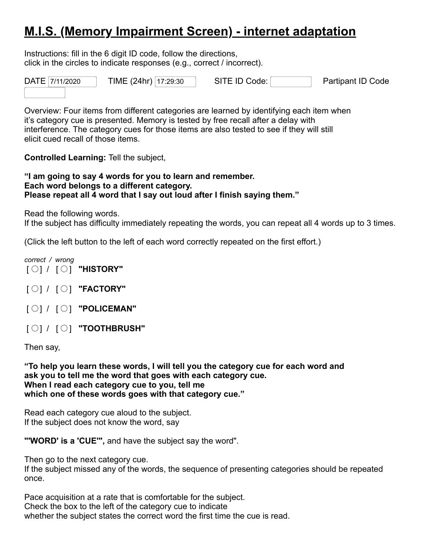## **M.I.S. (Memory Impairment Screen) - internet adaptation**

Instructions: fill in the 6 digit ID code, follow the directions, click in the circles to indicate responses (e.g., correct / incorrect).



Overview: Four items from different categories are learned by identifying each item when it's category cue is presented. Memory is tested by free recall after a delay with interference. The category cues for those items are also tested to see if they will still elicit cued recall of those items.

**Controlled Learning:** Tell the subject,

**"I am going to say 4 words for you to learn and remember. Each word belongs to a different category. Please repeat all 4 word that I say out loud after I finish saying them."**

Read the following words.

If the subject has difficulty immediately repeating the words, you can repeat all 4 words up to 3 times.

(Click the left button to the left of each word correctly repeated on the first effort.)

*correct / wrong* [ ] / [ ] **"HISTORY"**

- [ ] / [ ] **"FACTORY"**
- [ ] / [ ] **"POLICEMAN"**

[ ] / [ ] **"TOOTHBRUSH"**

Then say,

**"To help you learn these words, I will tell you the category cue for each word and ask you to tell me the word that goes with each category cue. When I read each category cue to you, tell me which one of these words goes with that category cue."**

Read each category cue aloud to the subject. If the subject does not know the word, say

**"'WORD' is a 'CUE'",** and have the subject say the word".

Then go to the next category cue.

If the subject missed any of the words, the sequence of presenting categories should be repeated once.

Pace acquisition at a rate that is comfortable for the subject. Check the box to the left of the category cue to indicate whether the subject states the correct word the first time the cue is read.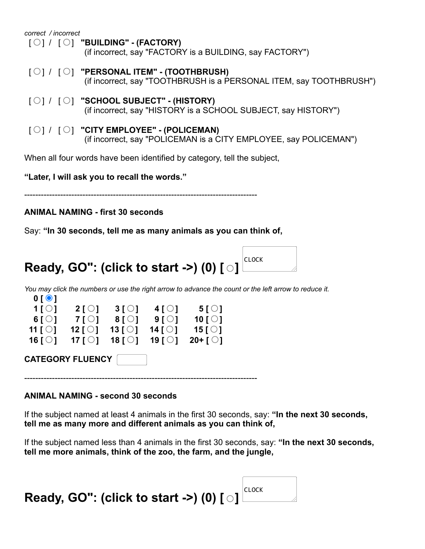| correct / incorrect                                                                                                                                     |  |  |  |  |
|---------------------------------------------------------------------------------------------------------------------------------------------------------|--|--|--|--|
| $\lceil \bigcirc \rceil / \lceil \bigcirc \rceil$ "BUILDING" - (FACTORY)<br>(if incorrect, say "FACTORY is a BUILDING, say FACTORY")                    |  |  |  |  |
| $\lceil \bigcirc \rceil / \lceil \bigcirc \rceil$ "PERSONAL ITEM" - (TOOTHBRUSH)<br>(if incorrect, say "TOOTHBRUSH is a PERSONAL ITEM, say TOOTHBRUSH") |  |  |  |  |
| $\lceil \bigcirc \rceil / \lceil \bigcirc \rceil$ "SCHOOL SUBJECT" - (HISTORY)<br>(if incorrect, say "HISTORY is a SCHOOL SUBJECT, say HISTORY")        |  |  |  |  |
| $\lceil \bigcirc \rceil$ / $\lceil \bigcirc \rceil$ "CITY EMPLOYEE" - (POLICEMAN)<br>(if incorrect, say "POLICEMAN is a CITY EMPLOYEE, say POLICEMAN")  |  |  |  |  |
| When all four words have been identified by category, tell the subject,                                                                                 |  |  |  |  |
| "Later, I will ask you to recall the words."                                                                                                            |  |  |  |  |
|                                                                                                                                                         |  |  |  |  |

## **ANIMAL NAMING - first 30 seconds**

Say: **"In 30 seconds, tell me as many animals as you can think of,**

## **Ready, GO": (click to start ->) (0) [ ]**  CLOCK

You may click the numbers or use the right arrow to advance the count or the left arrow to reduce it.



**ANIMAL NAMING - second 30 seconds**

If the subject named at least 4 animals in the first 30 seconds, say: **"In the next 30 seconds, tell me as many more and different animals as you can think of,**

If the subject named less than 4 animals in the first 30 seconds, say: **"In the next 30 seconds, tell me more animals, think of the zoo, the farm, and the jungle,**

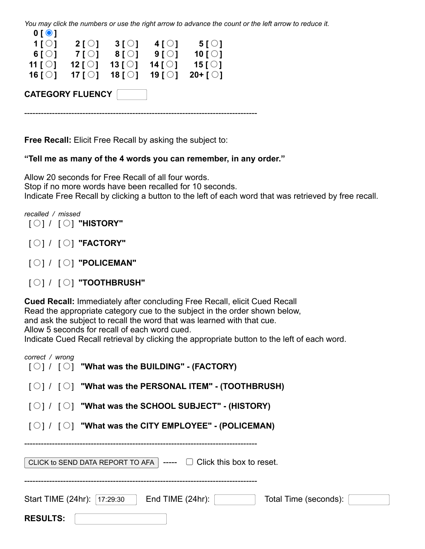You may click the numbers or use the right arrow to advance the count or the left arrow to reduce it.  **0 [ ]**

| $\mathsf{v}$ $\mathsf{v}$ $\mathsf{v}$ |                          |                   |                     |                   |  |
|----------------------------------------|--------------------------|-------------------|---------------------|-------------------|--|
| 1[0]                                   | $2[\circ]$               | $3[\circ]$        | $4[$ $\odot$ $]$    | 5[O]              |  |
| 6 $\lceil \bigcirc \rceil$             | 7 <sup>[</sup>           | $8[$ $\bigcirc$ ] | 91                  | 10 $[O]$          |  |
| 11 [ $\bigcirc$ ]                      | 12 [ $\bigcirc$ ]        | 13 [ $\bigcirc$ ] | 14 [ $\bigcirc$ ]   | 15 [ $\bigcirc$ ] |  |
| 16 [ $\bigcirc$ ]                      | 17 $\lceil \circ \rceil$ | 18 [ $\bigcirc$ ] | 19 $\overline{101}$ | $20 + [$          |  |
|                                        | <b>CATEGORY FLUENCY</b>  |                   |                     |                   |  |
|                                        |                          |                   |                     |                   |  |

**Free Recall:** Elicit Free Recall by asking the subject to:

## **"Tell me as many of the 4 words you can remember, in any order."**

Allow 20 seconds for Free Recall of all four words. Stop if no more words have been recalled for 10 seconds. Indicate Free Recall by clicking a button to the left of each word that was retrieved by free recall.

*recalled / missed* [ ] / [ ] **"HISTORY"**

- [ ] / [ ] **"FACTORY"**
- [ ] / [ ] **"POLICEMAN"**
- [ ] / [ ] **"TOOTHBRUSH"**

**Cued Recall:** Immediately after concluding Free Recall, elicit Cued Recall Read the appropriate category cue to the subject in the order shown below, and ask the subject to recall the word that was learned with that cue. Allow 5 seconds for recall of each word cued. Indicate Cued Recall retrieval by clicking the appropriate button to the left of each word.

| correct / wrong                                                               | $\lceil \bigcirc \rceil / \lceil \bigcirc \rceil$ "What was the BUILDING" - (FACTORY)         |  |  |  |  |
|-------------------------------------------------------------------------------|-----------------------------------------------------------------------------------------------|--|--|--|--|
|                                                                               | $\lceil \bigcirc \rceil / \lceil \bigcirc \rceil$ "What was the PERSONAL ITEM" - (TOOTHBRUSH) |  |  |  |  |
|                                                                               | $\lceil \bigcirc \rceil / \lceil \bigcirc \rceil$ "What was the SCHOOL SUBJECT" - (HISTORY)   |  |  |  |  |
|                                                                               | $\lceil \bigcirc \rceil / \lceil \bigcirc \rceil$ "What was the CITY EMPLOYEE" - (POLICEMAN)  |  |  |  |  |
| CLICK to SEND DATA REPORT TO AFA $\vert$ ---- $\Box$ Click this box to reset. |                                                                                               |  |  |  |  |
| Start TIME (24hr):  17:29:30<br>End TIME $(24hr)$ :<br>Total Time (seconds):  |                                                                                               |  |  |  |  |
| <b>RESULTS:</b>                                                               |                                                                                               |  |  |  |  |